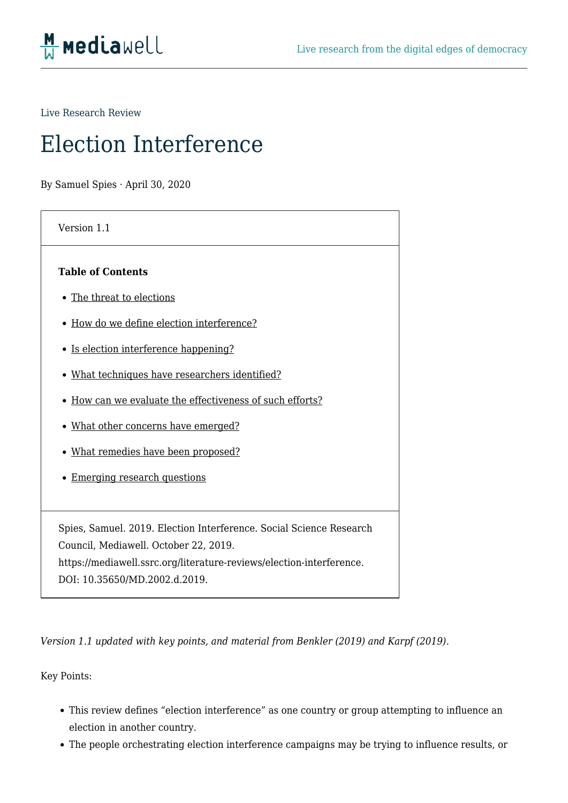

Live Research Review

# Election Interference

By Samuel Spies · April 30, 2020

| Version 1.1                                                          |
|----------------------------------------------------------------------|
| <b>Table of Contents</b>                                             |
| • The threat to elections                                            |
| • How do we define election interference?                            |
| • Is election interference happening?                                |
| • What techniques have researchers identified?                       |
| • How can we evaluate the effectiveness of such efforts?             |
| • What other concerns have emerged?                                  |
| • What remedies have been proposed?                                  |
| <b>Emerging research questions</b>                                   |
|                                                                      |
| Spies, Samuel. 2019. Election Interference. Social Science Research  |
| Council, Mediawell. October 22, 2019.                                |
| https://mediawell.ssrc.org/literature-reviews/election-interference. |

DOI: 10.35650/MD.2002.d.2019.

*Version 1.1 updated with key points, and material from Benkler (2019) and Karpf (2019).* 

Key Points:

- This review defines "election interference" as one country or group attempting to influence an election in another country.
- The people orchestrating election interference campaigns may be trying to influence results, or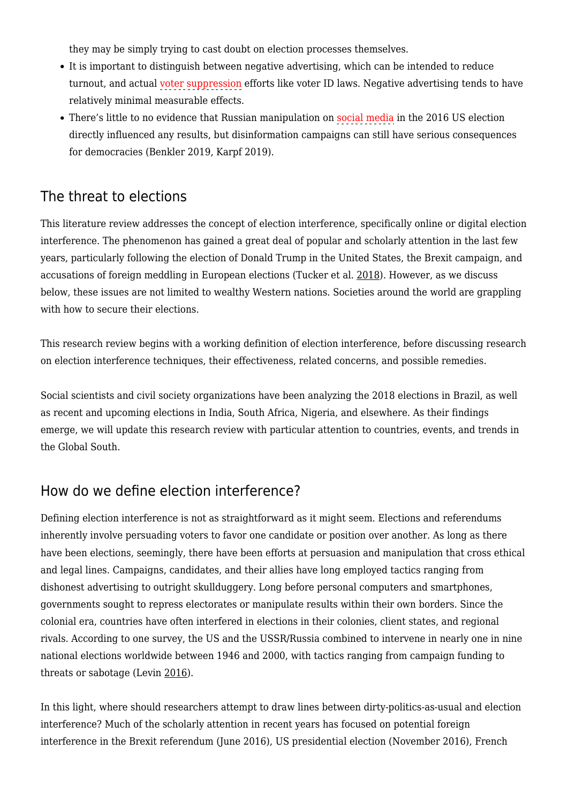they may be simply trying to cast doubt on election processes themselves.

- It is important to distinguish between negative advertising, which can be intended to reduce turnout, and actual voter suppression efforts like voter ID laws. Negative advertising tends to have relatively minimal measurable effects.
- There's little to no evidence that Russian manipulation on social media in the 2016 US election directly influenced any results, but disinformation campaigns can still have serious consequences for democracies (Benkler 2019, Karpf 2019).

#### The threat to elections

This literature review addresses the concept of election interference, specifically online or digital election interference. The phenomenon has gained a great deal of popular and scholarly attention in the last few years, particularly following the election of Donald Trump in the United States, the Brexit campaign, and accusations of foreign meddling in European elections (Tucker et al. [2018](https://mediawell.ssrc.org/citation/social-media-political-polarization-and-political-disinformation-a-review-of-the-scientific-literature/)). However, as we discuss below, these issues are not limited to wealthy Western nations. Societies around the world are grappling with how to secure their elections.

This research review begins with a working definition of election interference, before discussing research on election interference techniques, their effectiveness, related concerns, and possible remedies.

Social scientists and civil society organizations have been analyzing the 2018 elections in Brazil, as well as recent and upcoming elections in India, South Africa, Nigeria, and elsewhere. As their findings emerge, we will update this research review with particular attention to countries, events, and trends in the Global South.

#### How do we define election interference?

Defining election interference is not as straightforward as it might seem. Elections and referendums inherently involve persuading voters to favor one candidate or position over another. As long as there have been elections, seemingly, there have been efforts at persuasion and manipulation that cross ethical and legal lines. Campaigns, candidates, and their allies have long employed tactics ranging from dishonest advertising to outright skullduggery. Long before personal computers and smartphones, governments sought to repress electorates or manipulate results within their own borders. Since the colonial era, countries have often interfered in elections in their colonies, client states, and regional rivals. According to one survey, the US and the USSR/Russia combined to intervene in nearly one in nine national elections worldwide between 1946 and 2000, with tactics ranging from campaign funding to threats or sabotage (Levin [2016](https://mediawell.ssrc.org/citation/when-the-great-power-gets-a-vote-the-effects-of-great-power-electoral-interventions-on-election-results/)).

In this light, where should researchers attempt to draw lines between dirty-politics-as-usual and election interference? Much of the scholarly attention in recent years has focused on potential foreign interference in the Brexit referendum (June 2016), US presidential election (November 2016), French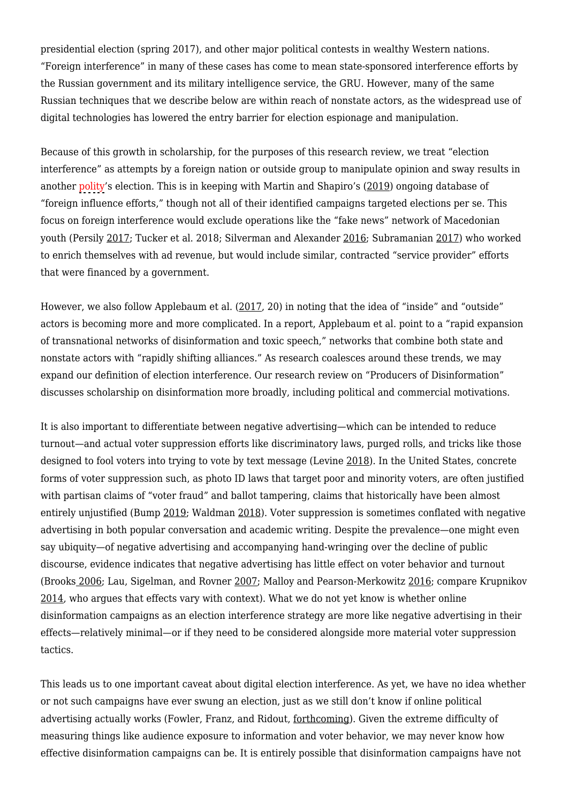presidential election (spring 2017), and other major political contests in wealthy Western nations. "Foreign interference" in many of these cases has come to mean state-sponsored interference efforts by the Russian government and its military intelligence service, the GRU. However, many of the same Russian techniques that we describe below are within reach of nonstate actors, as the widespread use of digital technologies has lowered the entry barrier for election espionage and manipulation.

Because of this growth in scholarship, for the purposes of this research review, we treat "election interference" as attempts by a foreign nation or outside group to manipulate opinion and sway results in another polity's election. This is in keeping with Martin and Shapiro's ([2019\)](https://mediawell.ssrc.org/citation/trends-in-online-foreign-influence-efforts-empirical-studies-of-conflict/) ongoing database of "foreign influence efforts," though not all of their identified campaigns targeted elections per se. This focus on foreign interference would exclude operations like the "fake news" network of Macedonian youth (Persily [2017;](https://mediawell.ssrc.org/citation/the-2016-u-s-election-can-democracy-survive-the-internet/) Tucker et al. 2018; Silverman and Alexander [2016;](https://mediawell.ssrc.org/citation/how-teens-in-the-balkans-are-duping-trump-supporters-with-fake-news/) Subramanian [2017](https://mediawell.ssrc.org/citation/meet-the-macedonian-teens-who-mastered-fake-news-and-corrupted-the-us-election/)) who worked to enrich themselves with ad revenue, but would include similar, contracted "service provider" efforts that were financed by a government.

However, we also follow Applebaum et al. [\(2017](https://mediawell.ssrc.org/citation/make-germany-great-again-kremlin-alt-right-and-international-influences-in-the-2017-german-elections/), 20) in noting that the idea of "inside" and "outside" actors is becoming more and more complicated. In a report, Applebaum et al. point to a "rapid expansion of transnational networks of disinformation and toxic speech," networks that combine both state and nonstate actors with "rapidly shifting alliances." As research coalesces around these trends, we may expand our definition of election interference. Our research review on "Producers of Disinformation" discusses scholarship on disinformation more broadly, including political and commercial motivations.

It is also important to differentiate between negative advertising—which can be intended to reduce turnout—and actual voter suppression efforts like discriminatory laws, purged rolls, and tricks like those designed to fool voters into trying to vote by text message (Levine [2018](https://mediawell.ssrc.org/citation/the-informed-voters-guide-to-making-sure-your-vote-counts/)). In the United States, concrete forms of voter suppression such, as photo ID laws that target poor and minority voters, are often justified with partisan claims of "voter fraud" and ballot tampering, claims that historically have been almost entirely unjustified (Bump [2019](https://mediawell.ssrc.org/citation/analysis-a-resignation-in-texas-is-a-reminder-of-how-trumps-vote-fraud-claims-come-up-empty/); Waldman [2018\)](https://mediawell.ssrc.org/citation/looks-like-an-actual-case-of-election-fraud-has-occurred-guess-whos-responsible/). Voter suppression is sometimes conflated with negative advertising in both popular conversation and academic writing. Despite the prevalence—one might even say ubiquity—of negative advertising and accompanying hand-wringing over the decline of public discourse, evidence indicates that negative advertising has little effect on voter behavior and turnout (Brooks [2006;](https://mediawell.ssrc.org/citation/the-resilient-voter-moving-toward-closure-in-the-debate-over-negative-campaigning-and-turnout/) Lau, Sigelman, and Rovner [2007;](https://mediawell.ssrc.org/citation/the-effects-of-negative-political-campaigns-a-meta-analytic-reassessment/) Malloy and Pearson-Merkowitz [2016](https://mediawell.ssrc.org/citation/going-positive-the-effects-of-negative-and-positive-advertising-on-candidate-success-and-voter-turnout/); compare Krupnikov [2014,](https://mediawell.ssrc.org/citation/how-negativity-can-increase-and-decrease-voter-turnout-the-effect-of-timing/) who argues that effects vary with context). What we do not yet know is whether online disinformation campaigns as an election interference strategy are more like negative advertising in their effects—relatively minimal—or if they need to be considered alongside more material voter suppression tactics.

This leads us to one important caveat about digital election interference. As yet, we have no idea whether or not such campaigns have ever swung an election, just as we still don't know if online political advertising actually works (Fowler, Franz, and Ridout, [forthcoming](https://mediawell.ssrc.org/citation/online-political-advertising-in-the-united-states/)). Given the extreme difficulty of measuring things like audience exposure to information and voter behavior, we may never know how effective disinformation campaigns can be. It is entirely possible that disinformation campaigns have not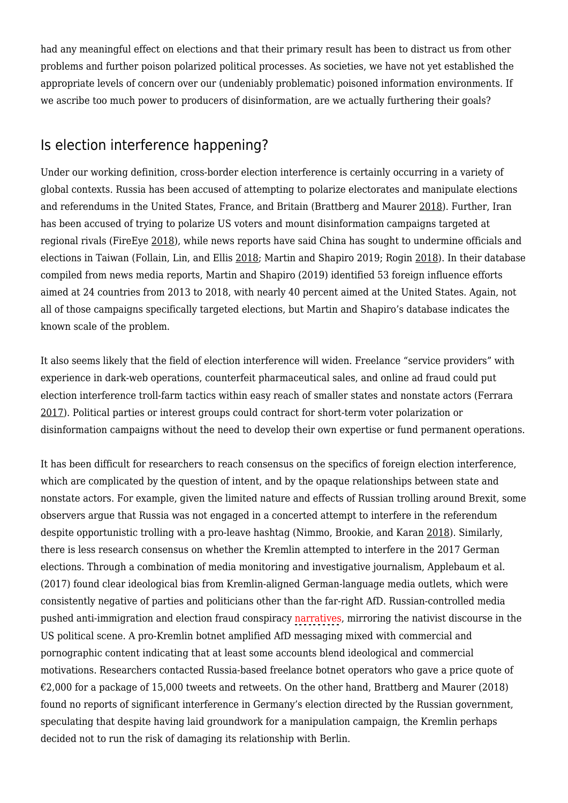had any meaningful effect on elections and that their primary result has been to distract us from other problems and further poison polarized political processes. As societies, we have not yet established the appropriate levels of concern over our (undeniably problematic) poisoned information environments. If we ascribe too much power to producers of disinformation, are we actually furthering their goals?

# Is election interference happening?

Under our working definition, cross-border election interference is certainly occurring in a variety of global contexts. Russia has been accused of attempting to polarize electorates and manipulate elections and referendums in the United States, France, and Britain (Brattberg and Maurer [2018\)](https://mediawell.ssrc.org/citation/russian-election-interference-europes-counter-to-fake-news-and-cyber-attacks/). Further, Iran has been accused of trying to polarize US voters and mount disinformation campaigns targeted at regional rivals (FireEye [2018\)](https://mediawell.ssrc.org/citation/suspected-iranian-influence-operation-leverages-network-of-inauthentic-news-sites-social-media-targeting-audiences-in-u-s-uk-latin-america-middle-east/), while news reports have said China has sought to undermine officials and elections in Taiwan (Follain, Lin, and Ellis [2018](https://mediawell.ssrc.org/citation/china-ramps-up-cyberattacks-on-taiwan/); Martin and Shapiro 2019; Rogin [2018](https://mediawell.ssrc.org/citation/chinas-interference-in-the-2018-elections-succeeded-in-taiwan/)). In their database compiled from news media reports, Martin and Shapiro (2019) identified 53 foreign influence efforts aimed at 24 countries from 2013 to 2018, with nearly 40 percent aimed at the United States. Again, not all of those campaigns specifically targeted elections, but Martin and Shapiro's database indicates the known scale of the problem.

It also seems likely that the field of election interference will widen. Freelance "service providers" with experience in dark-web operations, counterfeit pharmaceutical sales, and online ad fraud could put election interference troll-farm tactics within easy reach of smaller states and nonstate actors (Ferrara [2017\)](https://mediawell.ssrc.org/citation/disinformation-and-social-bot-operations-in-the-run-up-to-the-2017-french-presidential-election/). Political parties or interest groups could contract for short-term voter polarization or disinformation campaigns without the need to develop their own expertise or fund permanent operations.

It has been difficult for researchers to reach consensus on the specifics of foreign election interference, which are complicated by the question of intent, and by the opaque relationships between state and nonstate actors. For example, given the limited nature and effects of Russian trolling around Brexit, some observers argue that Russia was not engaged in a concerted attempt to interfere in the referendum despite opportunistic trolling with a pro-leave hashtag (Nimmo, Brookie, and Karan [2018](https://mediawell.ssrc.org/citation/trolltracker-twitters-troll-farm-archives/)). Similarly, there is less research consensus on whether the Kremlin attempted to interfere in the 2017 German elections. Through a combination of media monitoring and investigative journalism, Applebaum et al. (2017) found clear ideological bias from Kremlin-aligned German-language media outlets, which were consistently negative of parties and politicians other than the far-right AfD. Russian-controlled media pushed anti-immigration and election fraud conspiracy narratives, mirroring the nativist discourse in the US political scene. A pro-Kremlin botnet amplified AfD messaging mixed with commercial and pornographic content indicating that at least some accounts blend ideological and commercial motivations. Researchers contacted Russia-based freelance botnet operators who gave a price quote of  $\epsilon$ 2,000 for a package of 15,000 tweets and retweets. On the other hand, Brattberg and Maurer (2018) found no reports of significant interference in Germany's election directed by the Russian government, speculating that despite having laid groundwork for a manipulation campaign, the Kremlin perhaps decided not to run the risk of damaging its relationship with Berlin.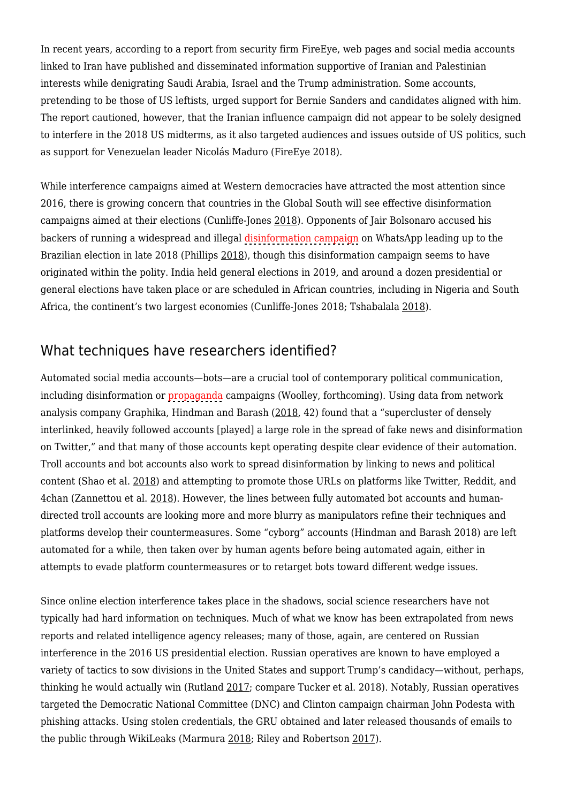In recent years, according to a report from security firm FireEye, web pages and social media accounts linked to Iran have published and disseminated information supportive of Iranian and Palestinian interests while denigrating Saudi Arabia, Israel and the Trump administration. Some accounts, pretending to be those of US leftists, urged support for Bernie Sanders and candidates aligned with him. The report cautioned, however, that the Iranian influence campaign did not appear to be solely designed to interfere in the 2018 US midterms, as it also targeted audiences and issues outside of US politics, such as support for Venezuelan leader Nicolás Maduro (FireEye 2018).

While interference campaigns aimed at Western democracies have attracted the most attention since 2016, there is growing concern that countries in the Global South will see effective disinformation campaigns aimed at their elections (Cunliffe-Jones [2018\)](https://mediawell.ssrc.org/citation/the-focus-of-misinformation-debates-shifts-south/). Opponents of Jair Bolsonaro accused his backers of running a widespread and illegal disinformation campaign on WhatsApp leading up to the Brazilian election in late 2018 (Phillips [2018\)](https://mediawell.ssrc.org/citation/bolsonaro-business-backers-accused-of-illegal-whatsapp-fake-news-campaign/), though this disinformation campaign seems to have originated within the polity. India held general elections in 2019, and around a dozen presidential or general elections have taken place or are scheduled in African countries, including in Nigeria and South Africa, the continent's two largest economies (Cunliffe-Jones 2018; Tshabalala [2018\)](https://mediawell.ssrc.org/citation/ahead-of-african-elections-unlock-partnerships-with-fact-checkers/).

### What techniques have researchers identified?

Automated social media accounts—bots—are a crucial tool of contemporary political communication, including disinformation or propaganda campaigns (Woolley, forthcoming). Using data from network analysis company Graphika, Hindman and Barash [\(2018](https://mediawell.ssrc.org/citation/disinformation-fake-news-and-influence-campaigns-on-twitter/), 42) found that a "supercluster of densely interlinked, heavily followed accounts [played] a large role in the spread of fake news and disinformation on Twitter," and that many of those accounts kept operating despite clear evidence of their automation. Troll accounts and bot accounts also work to spread disinformation by linking to news and political content (Shao et al. [2018](https://mediawell.ssrc.org/citation/the-spread-of-low-credibility-content-by-social-bots/)) and attempting to promote those URLs on platforms like Twitter, Reddit, and 4chan (Zannettou et al. [2018\)](https://mediawell.ssrc.org/citation/disinformation-warfare-understanding-state-sponsored-trolls-on-twitter-and-their-influence-on-the-web/). However, the lines between fully automated bot accounts and humandirected troll accounts are looking more and more blurry as manipulators refine their techniques and platforms develop their countermeasures. Some "cyborg" accounts (Hindman and Barash 2018) are left automated for a while, then taken over by human agents before being automated again, either in attempts to evade platform countermeasures or to retarget bots toward different wedge issues.

Since online election interference takes place in the shadows, social science researchers have not typically had hard information on techniques. Much of what we know has been extrapolated from news reports and related intelligence agency releases; many of those, again, are centered on Russian interference in the 2016 US presidential election. Russian operatives are known to have employed a variety of tactics to sow divisions in the United States and support Trump's candidacy—without, perhaps, thinking he would actually win (Rutland [2017;](https://mediawell.ssrc.org/citation/trump-putin-and-the-future-of-us-russian-relations/) compare Tucker et al. 2018). Notably, Russian operatives targeted the Democratic National Committee (DNC) and Clinton campaign chairman John Podesta with phishing attacks. Using stolen credentials, the GRU obtained and later released thousands of emails to the public through WikiLeaks (Marmura [2018](https://mediawell.ssrc.org/citation/wikileaks-american-moment-the-dnc-emails-russiagate-and-beyond/); Riley and Robertson [2017\)](https://mediawell.ssrc.org/citation/russian-hacks-on-u-s-voting-system-wider-than-previously-known/).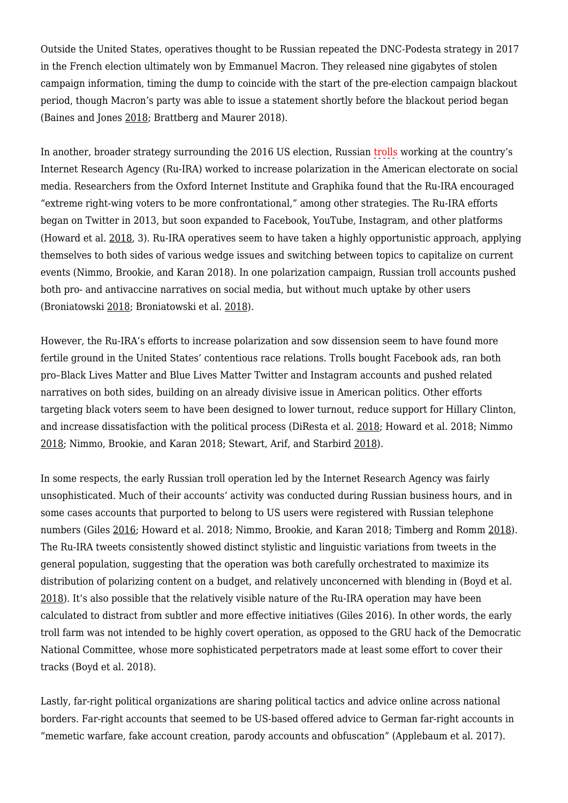Outside the United States, operatives thought to be Russian repeated the DNC-Podesta strategy in 2017 in the French election ultimately won by Emmanuel Macron. They released nine gigabytes of stolen campaign information, timing the dump to coincide with the start of the pre-election campaign blackout period, though Macron's party was able to issue a statement shortly before the blackout period began (Baines and Jones [2018](https://mediawell.ssrc.org/citation/influence-and-interference-in-foreign-elections/); Brattberg and Maurer 2018).

In another, broader strategy surrounding the 2016 US election, Russian trolls working at the country's Internet Research Agency (Ru-IRA) worked to increase polarization in the American electorate on social media. Researchers from the Oxford Internet Institute and Graphika found that the Ru-IRA encouraged "extreme right-wing voters to be more confrontational," among other strategies. The Ru-IRA efforts began on Twitter in 2013, but soon expanded to Facebook, YouTube, Instagram, and other platforms (Howard et al. [2018](https://mediawell.ssrc.org/citation/the-ira-and-political-polarization-in-the-united-states/), 3). Ru-IRA operatives seem to have taken a highly opportunistic approach, applying themselves to both sides of various wedge issues and switching between topics to capitalize on current events (Nimmo, Brookie, and Karan 2018). In one polarization campaign, Russian troll accounts pushed both pro- and antivaccine narratives on social media, but without much uptake by other users (Broniatowski [2018](https://mediawell.ssrc.org/citation/disinformation-and-american-politics-and-policy-debates/); Broniatowski et al. [2018\)](https://mediawell.ssrc.org/citation/weaponized-health-communication-twitter-bots-and-russian-trolls-amplify-the-vaccine-debate/).

However, the Ru-IRA's efforts to increase polarization and sow dissension seem to have found more fertile ground in the United States' contentious race relations. Trolls bought Facebook ads, ran both pro–Black Lives Matter and Blue Lives Matter Twitter and Instagram accounts and pushed related narratives on both sides, building on an already divisive issue in American politics. Other efforts targeting black voters seem to have been designed to lower turnout, reduce support for Hillary Clinton, and increase dissatisfaction with the political process (DiResta et al. [2018](https://mediawell.ssrc.org/citation/the-tactics-tropes-of-the-internet-research-agency/); Howard et al. 2018; Nimmo [2018;](https://mediawell.ssrc.org/citation/another-of-the-most-effective-troll-reddit-accounts-was-u-whatimdoindhere-which-was-anti-black-lives-matter-pic-twitter-com-hcjrspxyos/) Nimmo, Brookie, and Karan 2018; Stewart, Arif, and Starbird [2018](https://mediawell.ssrc.org/citation/examining-trolls-and-polarization-with-a-retweet-network/)).

In some respects, the early Russian troll operation led by the Internet Research Agency was fairly unsophisticated. Much of their accounts' activity was conducted during Russian business hours, and in some cases accounts that purported to belong to US users were registered with Russian telephone numbers (Giles [2016](https://mediawell.ssrc.org/citation/the-next-phase-of-russian-information-warfare/); Howard et al. 2018; Nimmo, Brookie, and Karan 2018; Timberg and Romm [2018\)](https://mediawell.ssrc.org/citation/new-report-on-russian-disinformation-prepared-for-the-senate-shows-the-operations-scale-and-sweep/). The Ru-IRA tweets consistently showed distinct stylistic and linguistic variations from tweets in the general population, suggesting that the operation was both carefully orchestrated to maximize its distribution of polarizing content on a budget, and relatively unconcerned with blending in (Boyd et al. [2018\)](https://mediawell.ssrc.org/citation/characterizing-the-internet-research-agencys-social-media-operations-during-the-2016-u-s-presidential-election-using-linguistic-analyses/). It's also possible that the relatively visible nature of the Ru-IRA operation may have been calculated to distract from subtler and more effective initiatives (Giles 2016). In other words, the early troll farm was not intended to be highly covert operation, as opposed to the GRU hack of the Democratic National Committee, whose more sophisticated perpetrators made at least some effort to cover their tracks (Boyd et al. 2018).

Lastly, far-right political organizations are sharing political tactics and advice online across national borders. Far-right accounts that seemed to be US-based offered advice to German far-right accounts in "memetic warfare, fake account creation, parody accounts and obfuscation" (Applebaum et al. 2017).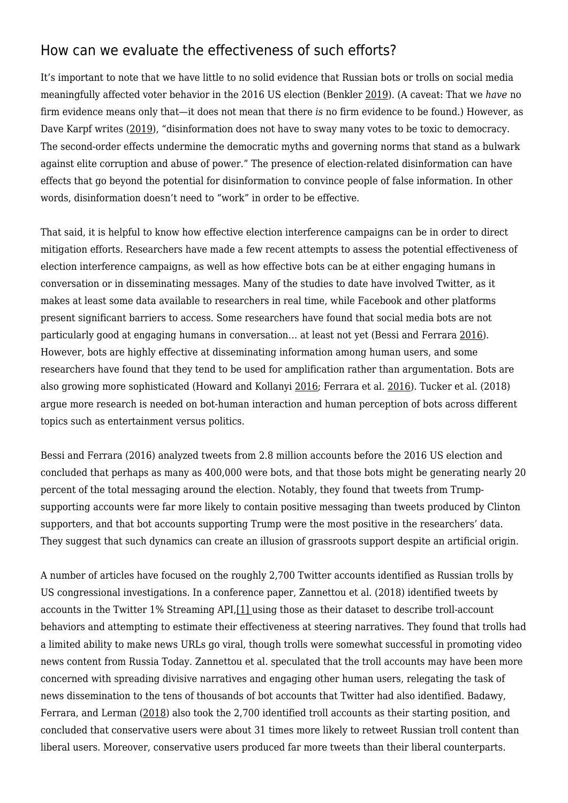#### How can we evaluate the effectiveness of such efforts?

It's important to note that we have little to no solid evidence that Russian bots or trolls on social media meaningfully affected voter behavior in the 2016 US election (Benkler [2019\)](https://mediawell.ssrc.org/expert-reflections/cautionary-notes-on-disinformation-benkler/). (A caveat: That we *have* no firm evidence means only that—it does not mean that there *is* no firm evidence to be found.) However, as Dave Karpf writes ([2019\)](https://mediawell.ssrc.org/expert-reflections/on-digital-disinformation-and-democratic-myths/), "disinformation does not have to sway many votes to be toxic to democracy. The second-order effects undermine the democratic myths and governing norms that stand as a bulwark against elite corruption and abuse of power." The presence of election-related disinformation can have effects that go beyond the potential for disinformation to convince people of false information. In other words, disinformation doesn't need to "work" in order to be effective.

That said, it is helpful to know how effective election interference campaigns can be in order to direct mitigation efforts. Researchers have made a few recent attempts to assess the potential effectiveness of election interference campaigns, as well as how effective bots can be at either engaging humans in conversation or in disseminating messages. Many of the studies to date have involved Twitter, as it makes at least some data available to researchers in real time, while Facebook and other platforms present significant barriers to access. Some researchers have found that social media bots are not particularly good at engaging humans in conversation… at least not yet (Bessi and Ferrara [2016\)](https://mediawell.ssrc.org/citation/social-bots-distort-the-2016-u-s-presidential-election-online-discussion/). However, bots are highly effective at disseminating information among human users, and some researchers have found that they tend to be used for amplification rather than argumentation. Bots are also growing more sophisticated (Howard and Kollanyi [2016](https://mediawell.ssrc.org/citation/bots-strongerin-and-brexit-computational-propaganda-during-the-uk-eu-referendum/); Ferrara et al. [2016](https://mediawell.ssrc.org/citation/the-rise-of-social-bots/)). Tucker et al. (2018) argue more research is needed on bot-human interaction and human perception of bots across different topics such as entertainment versus politics.

Bessi and Ferrara (2016) analyzed tweets from 2.8 million accounts before the 2016 US election and concluded that perhaps as many as 400,000 were bots, and that those bots might be generating nearly 20 percent of the total messaging around the election. Notably, they found that tweets from Trumpsupporting accounts were far more likely to contain positive messaging than tweets produced by Clinton supporters, and that bot accounts supporting Trump were the most positive in the researchers' data. They suggest that such dynamics can create an illusion of grassroots support despite an artificial origin.

A number of articles have focused on the roughly 2,700 Twitter accounts identified as Russian trolls by US congressional investigations. In a conference paper, Zannettou et al. (2018) identified tweets by accounts in the Twitter 1% Streaming API,[\[1\]](https://mediawell.ssrc.org/DF787F38-6481-4B30-84FB-97B20A7238CA#_ftn1) using those as their dataset to describe troll-account behaviors and attempting to estimate their effectiveness at steering narratives. They found that trolls had a limited ability to make news URLs go viral, though trolls were somewhat successful in promoting video news content from Russia Today. Zannettou et al. speculated that the troll accounts may have been more concerned with spreading divisive narratives and engaging other human users, relegating the task of news dissemination to the tens of thousands of bot accounts that Twitter had also identified. Badawy, Ferrara, and Lerman ([2018](https://mediawell.ssrc.org/citation/analyzing-the-digital-traces-of-political-manipulation-the-2016-russian-interference-twitter-campaign/)) also took the 2,700 identified troll accounts as their starting position, and concluded that conservative users were about 31 times more likely to retweet Russian troll content than liberal users. Moreover, conservative users produced far more tweets than their liberal counterparts.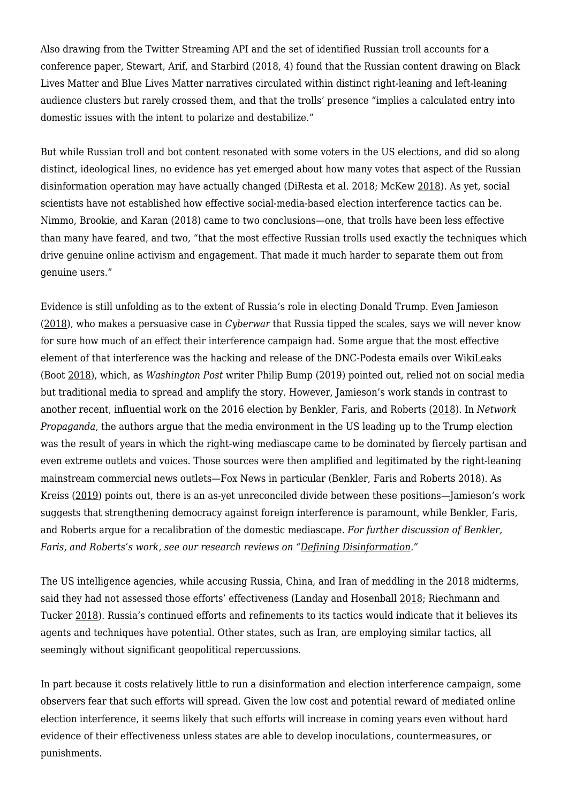Also drawing from the Twitter Streaming API and the set of identified Russian troll accounts for a conference paper, Stewart, Arif, and Starbird (2018, 4) found that the Russian content drawing on Black Lives Matter and Blue Lives Matter narratives circulated within distinct right-leaning and left-leaning audience clusters but rarely crossed them, and that the trolls' presence "implies a calculated entry into domestic issues with the intent to polarize and destabilize."

But while Russian troll and bot content resonated with some voters in the US elections, and did so along distinct, ideological lines, no evidence has yet emerged about how many votes that aspect of the Russian disinformation operation may have actually changed (DiResta et al. 2018; McKew [2018\)](https://mediawell.ssrc.org/citation/did-russia-affect-the-2016-election-its-now-undeniable/). As yet, social scientists have not established how effective social-media-based election interference tactics can be. Nimmo, Brookie, and Karan (2018) came to two conclusions—one, that trolls have been less effective than many have feared, and two, "that the most effective Russian trolls used exactly the techniques which drive genuine online activism and engagement. That made it much harder to separate them out from genuine users."

Evidence is still unfolding as to the extent of Russia's role in electing Donald Trump. Even Jamieson [\(2018](https://mediawell.ssrc.org/citation/cyberwar-how-russian-hackers-and-trolls-helped-elect-a-president-what-we-dont-cant-and-do-know/)), who makes a persuasive case in *Cyberwar* that Russia tipped the scales, says we will never know for sure how much of an effect their interference campaign had. Some argue that the most effective element of that interference was the hacking and release of the DNC-Podesta emails over WikiLeaks (Boot [2018](https://mediawell.ssrc.org/citation/without-the-russians-trump-wouldnt-have-won/)), which, as *Washington Post* writer Philip Bump (2019) pointed out, relied not on social media but traditional media to spread and amplify the story. However, Jamieson's work stands in contrast to another recent, influential work on the 2016 election by Benkler, Faris, and Roberts [\(2018\)](https://mediawell.ssrc.org/citation/network-propaganda-manipulation-disinformation-and-radicalization-in-american-politics/). In *Network Propaganda*, the authors argue that the media environment in the US leading up to the Trump election was the result of years in which the right-wing mediascape came to be dominated by fiercely partisan and even extreme outlets and voices. Those sources were then amplified and legitimated by the right-leaning mainstream commercial news outlets—Fox News in particular (Benkler, Faris and Roberts 2018). As Kreiss [\(2019](https://mediawell.ssrc.org/citation/from-epistemic-to-identity-crisis-perspectives-on-the-2016-u-s-presidential-election/)) points out, there is an as-yet unreconciled divide between these positions—Jamieson's work suggests that strengthening democracy against foreign interference is paramount, while Benkler, Faris, and Roberts argue for a recalibration of the domestic mediascape. *For further discussion of Benkler, Faris, and Roberts's work, see our research reviews on ["Defining Disinformation.](https://mediawell.ssrc.org/research-topics/defining-disinformation/)"*

The US intelligence agencies, while accusing Russia, China, and Iran of meddling in the 2018 midterms, said they had not assessed those efforts' effectiveness (Landay and Hosenball [2018](https://mediawell.ssrc.org/citation/russia-china-iran-sought-to-influence-u-s-2018-elections-u-s-spy-chief/); Riechmann and Tucker [2018](https://mediawell.ssrc.org/citation/russian-woman-charged-with-u-s-election-interference-through-social-media/)). Russia's continued efforts and refinements to its tactics would indicate that it believes its agents and techniques have potential. Other states, such as Iran, are employing similar tactics, all seemingly without significant geopolitical repercussions.

In part because it costs relatively little to run a disinformation and election interference campaign, some observers fear that such efforts will spread. Given the low cost and potential reward of mediated online election interference, it seems likely that such efforts will increase in coming years even without hard evidence of their effectiveness unless states are able to develop inoculations, countermeasures, or punishments.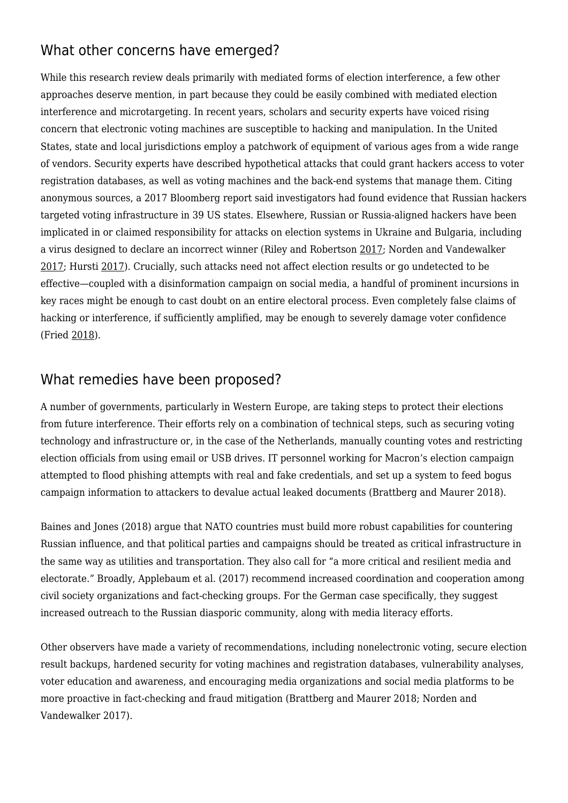### What other concerns have emerged?

While this research review deals primarily with mediated forms of election interference, a few other approaches deserve mention, in part because they could be easily combined with mediated election interference and microtargeting. In recent years, scholars and security experts have voiced rising concern that electronic voting machines are susceptible to hacking and manipulation. In the United States, state and local jurisdictions employ a patchwork of equipment of various ages from a wide range of vendors. Security experts have described hypothetical attacks that could grant hackers access to voter registration databases, as well as voting machines and the back-end systems that manage them. Citing anonymous sources, a 2017 Bloomberg report said investigators had found evidence that Russian hackers targeted voting infrastructure in 39 US states. Elsewhere, Russian or Russia-aligned hackers have been implicated in or claimed responsibility for attacks on election systems in Ukraine and Bulgaria, including a virus designed to declare an incorrect winner (Riley and Robertson [2017](https://mediawell.ssrc.org/citation/russian-hacks-on-u-s-voting-system-wider-than-previously-known/); Norden and Vandewalker [2017;](https://mediawell.ssrc.org/citation/securing-elections-from-foreign-interference/) Hursti [2017](https://mediawell.ssrc.org/citation/def-con-25-voting-village-harri-hursti-brief-history-of-election-machine-hacking/)). Crucially, such attacks need not affect election results or go undetected to be effective—coupled with a disinformation campaign on social media, a handful of prominent incursions in key races might be enough to cast doubt on an entire electoral process. Even completely false claims of hacking or interference, if sufficiently amplified, may be enough to severely damage voter confidence (Fried [2018\)](https://mediawell.ssrc.org/citation/tech-firms-see-rise-in-false-claims-of-election-interference/).

#### What remedies have been proposed?

A number of governments, particularly in Western Europe, are taking steps to protect their elections from future interference. Their efforts rely on a combination of technical steps, such as securing voting technology and infrastructure or, in the case of the Netherlands, manually counting votes and restricting election officials from using email or USB drives. IT personnel working for Macron's election campaign attempted to flood phishing attempts with real and fake credentials, and set up a system to feed bogus campaign information to attackers to devalue actual leaked documents (Brattberg and Maurer 2018).

Baines and Jones (2018) argue that NATO countries must build more robust capabilities for countering Russian influence, and that political parties and campaigns should be treated as critical infrastructure in the same way as utilities and transportation. They also call for "a more critical and resilient media and electorate." Broadly, Applebaum et al. (2017) recommend increased coordination and cooperation among civil society organizations and fact-checking groups. For the German case specifically, they suggest increased outreach to the Russian diasporic community, along with media literacy efforts.

Other observers have made a variety of recommendations, including nonelectronic voting, secure election result backups, hardened security for voting machines and registration databases, vulnerability analyses, voter education and awareness, and encouraging media organizations and social media platforms to be more proactive in fact-checking and fraud mitigation (Brattberg and Maurer 2018; Norden and Vandewalker 2017).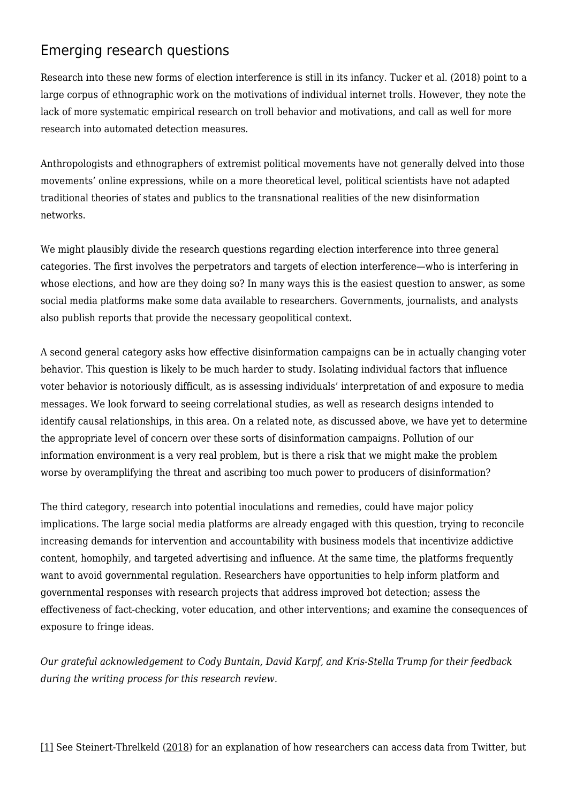# Emerging research questions

Research into these new forms of election interference is still in its infancy. Tucker et al. (2018) point to a large corpus of ethnographic work on the motivations of individual internet trolls. However, they note the lack of more systematic empirical research on troll behavior and motivations, and call as well for more research into automated detection measures.

Anthropologists and ethnographers of extremist political movements have not generally delved into those movements' online expressions, while on a more theoretical level, political scientists have not adapted traditional theories of states and publics to the transnational realities of the new disinformation networks.

We might plausibly divide the research questions regarding election interference into three general categories. The first involves the perpetrators and targets of election interference—who is interfering in whose elections, and how are they doing so? In many ways this is the easiest question to answer, as some social media platforms make some data available to researchers. Governments, journalists, and analysts also publish reports that provide the necessary geopolitical context.

A second general category asks how effective disinformation campaigns can be in actually changing voter behavior. This question is likely to be much harder to study. Isolating individual factors that influence voter behavior is notoriously difficult, as is assessing individuals' interpretation of and exposure to media messages. We look forward to seeing correlational studies, as well as research designs intended to identify causal relationships, in this area. On a related note, as discussed above, we have yet to determine the appropriate level of concern over these sorts of disinformation campaigns. Pollution of our information environment is a very real problem, but is there a risk that we might make the problem worse by overamplifying the threat and ascribing too much power to producers of disinformation?

The third category, research into potential inoculations and remedies, could have major policy implications. The large social media platforms are already engaged with this question, trying to reconcile increasing demands for intervention and accountability with business models that incentivize addictive content, homophily, and targeted advertising and influence. At the same time, the platforms frequently want to avoid governmental regulation. Researchers have opportunities to help inform platform and governmental responses with research projects that address improved bot detection; assess the effectiveness of fact-checking, voter education, and other interventions; and examine the consequences of exposure to fringe ideas.

*Our grateful acknowledgement to Cody Buntain, David Karpf, and Kris-Stella Trump for their feedback during the writing process for this research review.*

[\[1\]](https://mediawell.ssrc.org/DF787F38-6481-4B30-84FB-97B20A7238CA#_ftnref1) See Steinert-Threlkeld [\(2018](https://mediawell.ssrc.org/citation/twitter-as-data-elements-in-quantitative-and-computational-methods-for-the-social-sciences/)) for an explanation of how researchers can access data from Twitter, but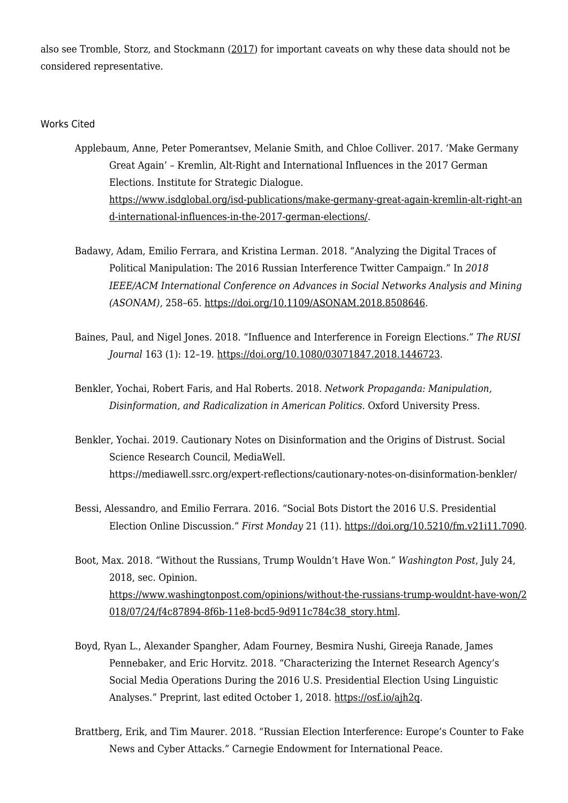also see Tromble, Storz, and Stockmann [\(2017\)](https://papers.ssrn.com/sol3/papers.cfm?abstract_id=3079927) for important caveats on why these data should not be considered representative.

#### Works Cited

- Applebaum, Anne, Peter Pomerantsev, Melanie Smith, and Chloe Colliver. 2017. 'Make Germany Great Again' – Kremlin, Alt-Right and International Influences in the 2017 German Elections. Institute for Strategic Dialogue. [https://www.isdglobal.org/isd-publications/make-germany-great-again-kremlin-alt-right-an](https://www.isdglobal.org/isd-publications/make-germany-great-again-kremlin-alt-right-and-international-influences-in-the-2017-german-elections/) [d-international-influences-in-the-2017-german-elections/.](https://www.isdglobal.org/isd-publications/make-germany-great-again-kremlin-alt-right-and-international-influences-in-the-2017-german-elections/)
- Badawy, Adam, Emilio Ferrara, and Kristina Lerman. 2018. "Analyzing the Digital Traces of Political Manipulation: The 2016 Russian Interference Twitter Campaign." In *2018 IEEE/ACM International Conference on Advances in Social Networks Analysis and Mining (ASONAM)*, 258–65. [https://doi.org/10.1109/ASONAM.2018.8508646.](https://doi.org/10.1109/ASONAM.2018.8508646)
- Baines, Paul, and Nigel Jones. 2018. "Influence and Interference in Foreign Elections." *The RUSI Journal* 163 (1): 12–19. <https://doi.org/10.1080/03071847.2018.1446723>.
- Benkler, Yochai, Robert Faris, and Hal Roberts. 2018. *Network Propaganda: Manipulation, Disinformation, and Radicalization in American Politics*. Oxford University Press.
- Benkler, Yochai. 2019. Cautionary Notes on Disinformation and the Origins of Distrust. Social Science Research Council, MediaWell. https://mediawell.ssrc.org/expert-reflections/cautionary-notes-on-disinformation-benkler/
- Bessi, Alessandro, and Emilio Ferrara. 2016. "Social Bots Distort the 2016 U.S. Presidential Election Online Discussion." *First Monday* 21 (11). [https://doi.org/10.5210/fm.v21i11.7090.](https://doi.org/10.5210/fm.v21i11.7090)
- Boot, Max. 2018. "Without the Russians, Trump Wouldn't Have Won." *Washington Post*, July 24, 2018, sec. Opinion. [https://www.washingtonpost.com/opinions/without-the-russians-trump-wouldnt-have-won/2](https://www.washingtonpost.com/opinions/without-the-russians-trump-wouldnt-have-won/2018/07/24/f4c87894-8f6b-11e8-bcd5-9d911c784c38_story.html) [018/07/24/f4c87894-8f6b-11e8-bcd5-9d911c784c38\\_story.html.](https://www.washingtonpost.com/opinions/without-the-russians-trump-wouldnt-have-won/2018/07/24/f4c87894-8f6b-11e8-bcd5-9d911c784c38_story.html)
- Boyd, Ryan L., Alexander Spangher, Adam Fourney, Besmira Nushi, Gireeja Ranade, James Pennebaker, and Eric Horvitz. 2018. "Characterizing the Internet Research Agency's Social Media Operations During the 2016 U.S. Presidential Election Using Linguistic Analyses." Preprint, last edited October 1, 2018. <https://osf.io/ajh2q>.
- Brattberg, Erik, and Tim Maurer. 2018. "Russian Election Interference: Europe's Counter to Fake News and Cyber Attacks." Carnegie Endowment for International Peace.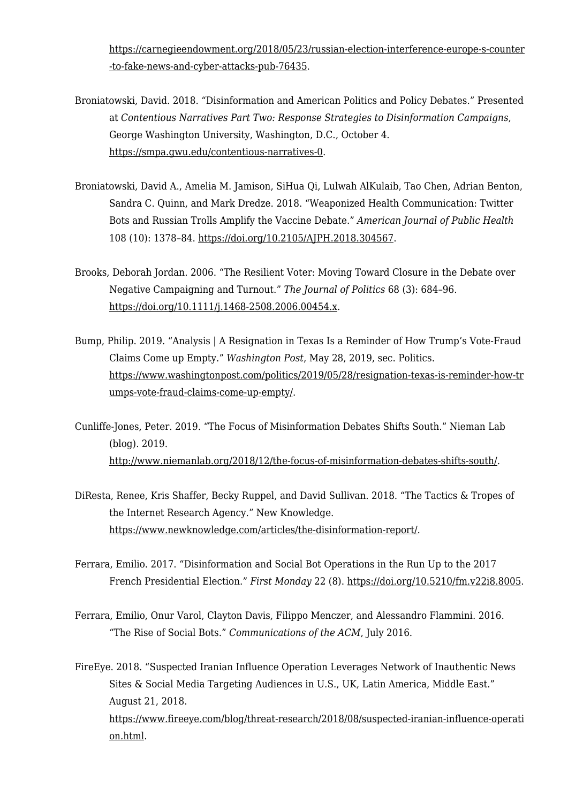[https://carnegieendowment.org/2018/05/23/russian-election-interference-europe-s-counter](https://carnegieendowment.org/2018/05/23/russian-election-interference-europe-s-counter-to-fake-news-and-cyber-attacks-pub-76435) [-to-fake-news-and-cyber-attacks-pub-76435](https://carnegieendowment.org/2018/05/23/russian-election-interference-europe-s-counter-to-fake-news-and-cyber-attacks-pub-76435).

- Broniatowski, David. 2018. "Disinformation and American Politics and Policy Debates." Presented at *Contentious Narratives Part Two: Response Strategies to Disinformation Campaigns*, George Washington University, Washington, D.C., October 4. [https://smpa.gwu.edu/contentious-narratives-0.](https://smpa.gwu.edu/contentious-narratives-0)
- Broniatowski, David A., Amelia M. Jamison, SiHua Qi, Lulwah AlKulaib, Tao Chen, Adrian Benton, Sandra C. Quinn, and Mark Dredze. 2018. "Weaponized Health Communication: Twitter Bots and Russian Trolls Amplify the Vaccine Debate." *American Journal of Public Health* 108 (10): 1378–84. [https://doi.org/10.2105/AJPH.2018.304567.](https://doi.org/10.2105/AJPH.2018.304567)
- Brooks, Deborah Jordan. 2006. "The Resilient Voter: Moving Toward Closure in the Debate over Negative Campaigning and Turnout." *The Journal of Politics* 68 (3): 684–96. [https://doi.org/10.1111/j.1468-2508.2006.00454.x.](https://doi.org/10.1111/j.1468-2508.2006.00454.x)
- Bump, Philip. 2019. "Analysis | A Resignation in Texas Is a Reminder of How Trump's Vote-Fraud Claims Come up Empty." *Washington Post*, May 28, 2019, sec. Politics. [https://www.washingtonpost.com/politics/2019/05/28/resignation-texas-is-reminder-how-tr](https://www.washingtonpost.com/politics/2019/05/28/resignation-texas-is-reminder-how-trumps-vote-fraud-claims-come-up-empty/) [umps-vote-fraud-claims-come-up-empty/](https://www.washingtonpost.com/politics/2019/05/28/resignation-texas-is-reminder-how-trumps-vote-fraud-claims-come-up-empty/).
- Cunliffe-Jones, Peter. 2019. "The Focus of Misinformation Debates Shifts South." Nieman Lab (blog). 2019. <http://www.niemanlab.org/2018/12/the-focus-of-misinformation-debates-shifts-south/>.
- DiResta, Renee, Kris Shaffer, Becky Ruppel, and David Sullivan. 2018. "The Tactics & Tropes of the Internet Research Agency." New Knowledge. [https://www.newknowledge.com/articles/the-disinformation-report/.](https://www.newknowledge.com/articles/the-disinformation-report/)
- Ferrara, Emilio. 2017. "Disinformation and Social Bot Operations in the Run Up to the 2017 French Presidential Election." *First Monday* 22 (8). <https://doi.org/10.5210/fm.v22i8.8005>.
- Ferrara, Emilio, Onur Varol, Clayton Davis, Filippo Menczer, and Alessandro Flammini. 2016. "The Rise of Social Bots." *Communications of the ACM*, July 2016.

FireEye. 2018. "Suspected Iranian Influence Operation Leverages Network of Inauthentic News Sites & Social Media Targeting Audiences in U.S., UK, Latin America, Middle East." August 21, 2018. [https://www.fireeye.com/blog/threat-research/2018/08/suspected-iranian-influence-operati](https://www.fireeye.com/blog/threat-research/2018/08/suspected-iranian-influence-operation.html) [on.html](https://www.fireeye.com/blog/threat-research/2018/08/suspected-iranian-influence-operation.html).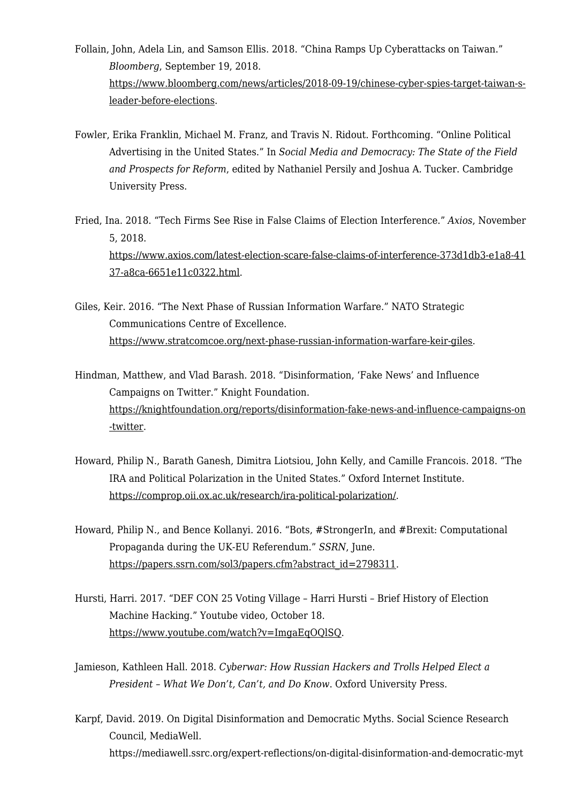- Follain, John, Adela Lin, and Samson Ellis. 2018. "China Ramps Up Cyberattacks on Taiwan." *Bloomberg*, September 19, 2018. [https://www.bloomberg.com/news/articles/2018-09-19/chinese-cyber-spies-target-taiwan-s](https://www.bloomberg.com/news/articles/2018-09-19/chinese-cyber-spies-target-taiwan-s-leader-before-elections)[leader-before-elections](https://www.bloomberg.com/news/articles/2018-09-19/chinese-cyber-spies-target-taiwan-s-leader-before-elections).
- Fowler, Erika Franklin, Michael M. Franz, and Travis N. Ridout. Forthcoming. "Online Political Advertising in the United States." In *Social Media and Democracy: The State of the Field and Prospects for Reform*, edited by Nathaniel Persily and Joshua A. Tucker. Cambridge University Press.
- Fried, Ina. 2018. "Tech Firms See Rise in False Claims of Election Interference." *Axios*, November 5, 2018. [https://www.axios.com/latest-election-scare-false-claims-of-interference-373d1db3-e1a8-41](https://www.axios.com/latest-election-scare-false-claims-of-interference-373d1db3-e1a8-4137-a8ca-6651e11c0322.html) [37-a8ca-6651e11c0322.html](https://www.axios.com/latest-election-scare-false-claims-of-interference-373d1db3-e1a8-4137-a8ca-6651e11c0322.html).
- Giles, Keir. 2016. "The Next Phase of Russian Information Warfare." NATO Strategic Communications Centre of Excellence. <https://www.stratcomcoe.org/next-phase-russian-information-warfare-keir-giles>.
- Hindman, Matthew, and Vlad Barash. 2018. "Disinformation, 'Fake News' and Influence Campaigns on Twitter." Knight Foundation. [https://knightfoundation.org/reports/disinformation-fake-news-and-influence-campaigns-on](https://knightfoundation.org/reports/disinformation-fake-news-and-influence-campaigns-on-twitter) [-twitter](https://knightfoundation.org/reports/disinformation-fake-news-and-influence-campaigns-on-twitter).
- Howard, Philip N., Barath Ganesh, Dimitra Liotsiou, John Kelly, and Camille Francois. 2018. "The IRA and Political Polarization in the United States." Oxford Internet Institute. <https://comprop.oii.ox.ac.uk/research/ira-political-polarization/>.
- Howard, Philip N., and Bence Kollanyi. 2016. "Bots, #StrongerIn, and #Brexit: Computational Propaganda during the UK-EU Referendum." *SSRN*, June. [https://papers.ssrn.com/sol3/papers.cfm?abstract\\_id=2798311](https://papers.ssrn.com/sol3/papers.cfm?abstract_id=2798311).
- Hursti, Harri. 2017. "DEF CON 25 Voting Village Harri Hursti Brief History of Election Machine Hacking." Youtube video, October 18. [https://www.youtube.com/watch?v=ImgaEqOQlSQ.](https://www.youtube.com/watch?v=ImgaEqOQlSQ)
- Jamieson, Kathleen Hall. 2018. *Cyberwar: How Russian Hackers and Trolls Helped Elect a President – What We Don't, Can't, and Do Know*. Oxford University Press.
- Karpf, David. 2019. On Digital Disinformation and Democratic Myths. Social Science Research Council, MediaWell. https://mediawell.ssrc.org/expert-reflections/on-digital-disinformation-and-democratic-myt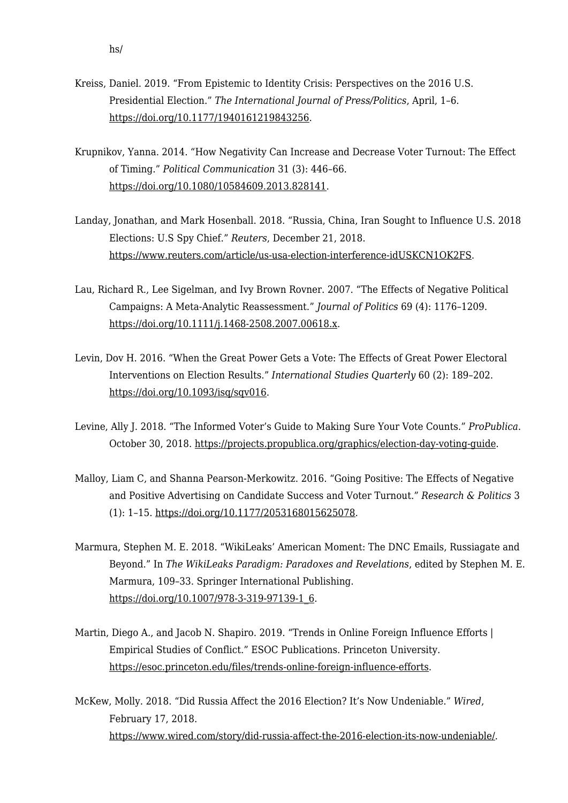- Kreiss, Daniel. 2019. "From Epistemic to Identity Crisis: Perspectives on the 2016 U.S. Presidential Election." *The International Journal of Press/Politics*, April, 1–6. <https://doi.org/10.1177/1940161219843256>.
- Krupnikov, Yanna. 2014. "How Negativity Can Increase and Decrease Voter Turnout: The Effect of Timing." *Political Communication* 31 (3): 446–66. <https://doi.org/10.1080/10584609.2013.828141>.
- Landay, Jonathan, and Mark Hosenball. 2018. "Russia, China, Iran Sought to Influence U.S. 2018 Elections: U.S Spy Chief." *Reuters*, December 21, 2018. <https://www.reuters.com/article/us-usa-election-interference-idUSKCN1OK2FS>.
- Lau, Richard R., Lee Sigelman, and Ivy Brown Rovner. 2007. "The Effects of Negative Political Campaigns: A Meta-Analytic Reassessment." *Journal of Politics* 69 (4): 1176–1209. [https://doi.org/10.1111/j.1468-2508.2007.00618.x.](https://doi.org/10.1111/j.1468-2508.2007.00618.x)
- Levin, Dov H. 2016. "When the Great Power Gets a Vote: The Effects of Great Power Electoral Interventions on Election Results." *International Studies Quarterly* 60 (2): 189–202. <https://doi.org/10.1093/isq/sqv016>.
- Levine, Ally J. 2018. "The Informed Voter's Guide to Making Sure Your Vote Counts." *ProPublica*. October 30, 2018. [https://projects.propublica.org/graphics/election-day-voting-guide.](https://projects.propublica.org/graphics/election-day-voting-guide)
- Malloy, Liam C, and Shanna Pearson-Merkowitz. 2016. "Going Positive: The Effects of Negative and Positive Advertising on Candidate Success and Voter Turnout." *Research & Politics* 3 (1): 1–15. <https://doi.org/10.1177/2053168015625078>.
- Marmura, Stephen M. E. 2018. "WikiLeaks' American Moment: The DNC Emails, Russiagate and Beyond." In *The WikiLeaks Paradigm: Paradoxes and Revelations*, edited by Stephen M. E. Marmura, 109–33. Springer International Publishing. [https://doi.org/10.1007/978-3-319-97139-1\\_6.](https://doi.org/10.1007/978-3-319-97139-1_6)
- Martin, Diego A., and Jacob N. Shapiro. 2019. "Trends in Online Foreign Influence Efforts | Empirical Studies of Conflict." ESOC Publications. Princeton University. [https://esoc.princeton.edu/files/trends-online-foreign-influence-efforts.](https://esoc.princeton.edu/files/trends-online-foreign-influence-efforts)
- McKew, Molly. 2018. "Did Russia Affect the 2016 Election? It's Now Undeniable." *Wired*, February 17, 2018. [https://www.wired.com/story/did-russia-affect-the-2016-election-its-now-undeniable/.](https://www.wired.com/story/did-russia-affect-the-2016-election-its-now-undeniable/)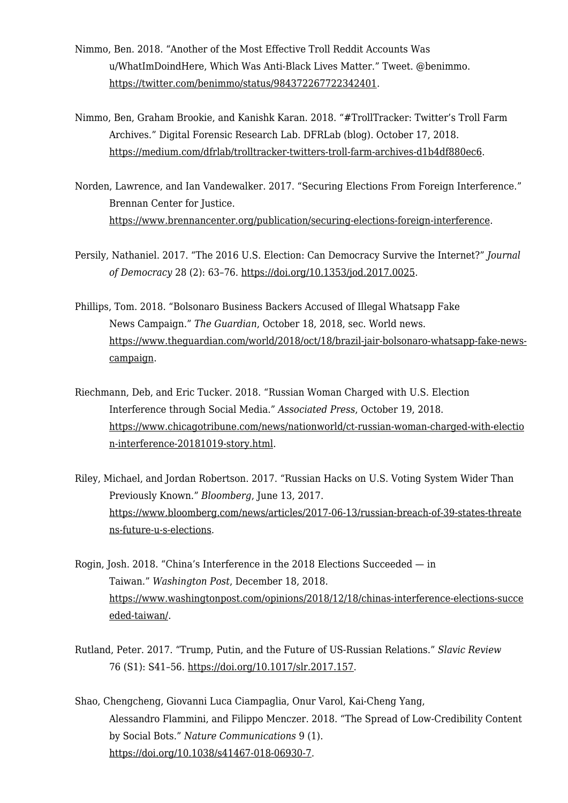- Nimmo, Ben. 2018. "Another of the Most Effective Troll Reddit Accounts Was u/WhatImDoindHere, Which Was Anti-Black Lives Matter." Tweet. @benimmo. <https://twitter.com/benimmo/status/984372267722342401>.
- Nimmo, Ben, Graham Brookie, and Kanishk Karan. 2018. "#TrollTracker: Twitter's Troll Farm Archives." Digital Forensic Research Lab. DFRLab (blog). October 17, 2018. <https://medium.com/dfrlab/trolltracker-twitters-troll-farm-archives-d1b4df880ec6>.
- Norden, Lawrence, and Ian Vandewalker. 2017. "Securing Elections From Foreign Interference." Brennan Center for Justice. [https://www.brennancenter.org/publication/securing-elections-foreign-interference.](https://www.brennancenter.org/publication/securing-elections-foreign-interference)
- Persily, Nathaniel. 2017. "The 2016 U.S. Election: Can Democracy Survive the Internet?" *Journal of Democracy* 28 (2): 63–76. <https://doi.org/10.1353/jod.2017.0025>.
- Phillips, Tom. 2018. "Bolsonaro Business Backers Accused of Illegal Whatsapp Fake News Campaign." *The Guardian*, October 18, 2018, sec. World news. [https://www.theguardian.com/world/2018/oct/18/brazil-jair-bolsonaro-whatsapp-fake-news](https://www.theguardian.com/world/2018/oct/18/brazil-jair-bolsonaro-whatsapp-fake-news-campaign)[campaign](https://www.theguardian.com/world/2018/oct/18/brazil-jair-bolsonaro-whatsapp-fake-news-campaign).
- Riechmann, Deb, and Eric Tucker. 2018. "Russian Woman Charged with U.S. Election Interference through Social Media." *Associated Press*, October 19, 2018. [https://www.chicagotribune.com/news/nationworld/ct-russian-woman-charged-with-electio](https://www.chicagotribune.com/news/nationworld/ct-russian-woman-charged-with-election-interference-20181019-story.html) [n-interference-20181019-story.html](https://www.chicagotribune.com/news/nationworld/ct-russian-woman-charged-with-election-interference-20181019-story.html).
- Riley, Michael, and Jordan Robertson. 2017. "Russian Hacks on U.S. Voting System Wider Than Previously Known." *Bloomberg*, June 13, 2017. [https://www.bloomberg.com/news/articles/2017-06-13/russian-breach-of-39-states-threate](https://www.bloomberg.com/news/articles/2017-06-13/russian-breach-of-39-states-threatens-future-u-s-elections) [ns-future-u-s-elections.](https://www.bloomberg.com/news/articles/2017-06-13/russian-breach-of-39-states-threatens-future-u-s-elections)
- Rogin, Josh. 2018. "China's Interference in the 2018 Elections Succeeded in Taiwan." *Washington Post*, December 18, 2018. [https://www.washingtonpost.com/opinions/2018/12/18/chinas-interference-elections-succe](https://www.washingtonpost.com/opinions/2018/12/18/chinas-interference-elections-succeeded-taiwan/) [eded-taiwan/](https://www.washingtonpost.com/opinions/2018/12/18/chinas-interference-elections-succeeded-taiwan/).
- Rutland, Peter. 2017. "Trump, Putin, and the Future of US-Russian Relations." *Slavic Review* 76 (S1): S41–56. [https://doi.org/10.1017/slr.2017.157.](https://doi.org/10.1017/slr.2017.157)
- Shao, Chengcheng, Giovanni Luca Ciampaglia, Onur Varol, Kai-Cheng Yang, Alessandro Flammini, and Filippo Menczer. 2018. "The Spread of Low-Credibility Content by Social Bots." *Nature Communications* 9 (1). [https://doi.org/10.1038/s41467-018-06930-7.](https://doi.org/10.1038/s41467-018-06930-7)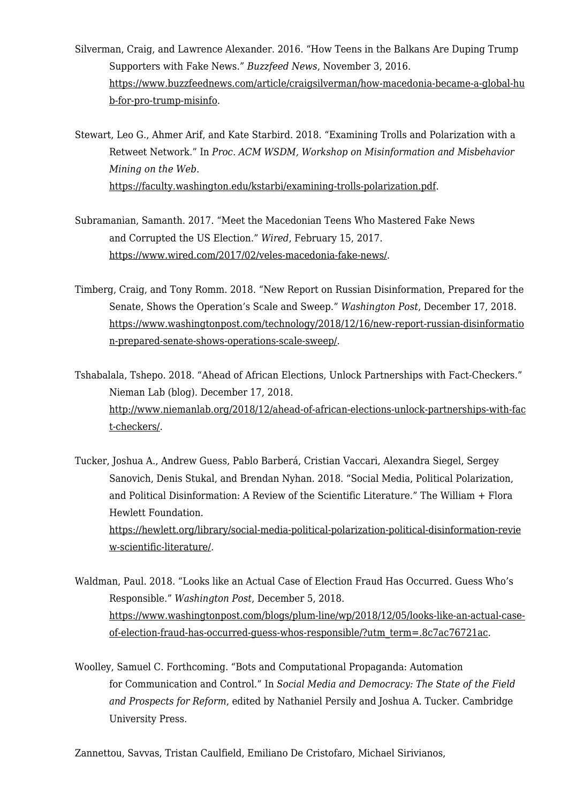- Silverman, Craig, and Lawrence Alexander. 2016. "How Teens in the Balkans Are Duping Trump Supporters with Fake News." *Buzzfeed News*, November 3, 2016. [https://www.buzzfeednews.com/article/craigsilverman/how-macedonia-became-a-global-hu](https://www.buzzfeednews.com/article/craigsilverman/how-macedonia-became-a-global-hub-for-pro-trump-misinfo) [b-for-pro-trump-misinfo.](https://www.buzzfeednews.com/article/craigsilverman/how-macedonia-became-a-global-hub-for-pro-trump-misinfo)
- Stewart, Leo G., Ahmer Arif, and Kate Starbird. 2018. "Examining Trolls and Polarization with a Retweet Network." In *Proc. ACM WSDM, Workshop on Misinformation and Misbehavior Mining on the Web*. <https://faculty.washington.edu/kstarbi/examining-trolls-polarization.pdf>.
- Subramanian, Samanth. 2017. "Meet the Macedonian Teens Who Mastered Fake News and Corrupted the US Election." *Wired*, February 15, 2017. [https://www.wired.com/2017/02/veles-macedonia-fake-news/.](https://www.wired.com/2017/02/veles-macedonia-fake-news/)
- Timberg, Craig, and Tony Romm. 2018. "New Report on Russian Disinformation, Prepared for the Senate, Shows the Operation's Scale and Sweep." *Washington Post*, December 17, 2018. [https://www.washingtonpost.com/technology/2018/12/16/new-report-russian-disinformatio](https://www.washingtonpost.com/technology/2018/12/16/new-report-russian-disinformation-prepared-senate-shows-operations-scale-sweep/) [n-prepared-senate-shows-operations-scale-sweep/](https://www.washingtonpost.com/technology/2018/12/16/new-report-russian-disinformation-prepared-senate-shows-operations-scale-sweep/).
- Tshabalala, Tshepo. 2018. "Ahead of African Elections, Unlock Partnerships with Fact-Checkers." Nieman Lab (blog). December 17, 2018. [http://www.niemanlab.org/2018/12/ahead-of-african-elections-unlock-partnerships-with-fac](http://www.niemanlab.org/2018/12/ahead-of-african-elections-unlock-partnerships-with-fact-checkers/) [t-checkers/.](http://www.niemanlab.org/2018/12/ahead-of-african-elections-unlock-partnerships-with-fact-checkers/)
- Tucker, Joshua A., Andrew Guess, Pablo Barberá, Cristian Vaccari, Alexandra Siegel, Sergey Sanovich, Denis Stukal, and Brendan Nyhan. 2018. "Social Media, Political Polarization, and Political Disinformation: A Review of the Scientific Literature." The William + Flora Hewlett Foundation. [https://hewlett.org/library/social-media-political-polarization-political-disinformation-revie](https://hewlett.org/library/social-media-political-polarization-political-disinformation-review-scientific-literature/) [w-scientific-literature/](https://hewlett.org/library/social-media-political-polarization-political-disinformation-review-scientific-literature/).
- Waldman, Paul. 2018. "Looks like an Actual Case of Election Fraud Has Occurred. Guess Who's Responsible." *Washington Post*, December 5, 2018. [https://www.washingtonpost.com/blogs/plum-line/wp/2018/12/05/looks-like-an-actual-case](https://www.washingtonpost.com/blogs/plum-line/wp/2018/12/05/looks-like-an-actual-case-of-election-fraud-has-occurred-guess-whos-responsible/?utm_term=.8c7ac76721ac)[of-election-fraud-has-occurred-guess-whos-responsible/?utm\\_term=.8c7ac76721ac.](https://www.washingtonpost.com/blogs/plum-line/wp/2018/12/05/looks-like-an-actual-case-of-election-fraud-has-occurred-guess-whos-responsible/?utm_term=.8c7ac76721ac)
- Woolley, Samuel C. Forthcoming. "Bots and Computational Propaganda: Automation for Communication and Control." In *Social Media and Democracy: The State of the Field and Prospects for Reform*, edited by Nathaniel Persily and Joshua A. Tucker. Cambridge University Press.

Zannettou, Savvas, Tristan Caulfield, Emiliano De Cristofaro, Michael Sirivianos,